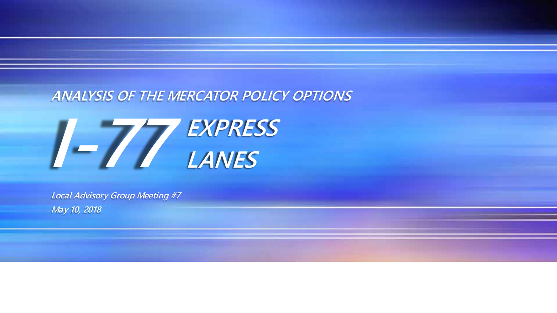#### *ANALYSIS OF THE MERCATOR POLICY OPTIONS*



*Local Advisory Group Meeting #7 May 10, 2018*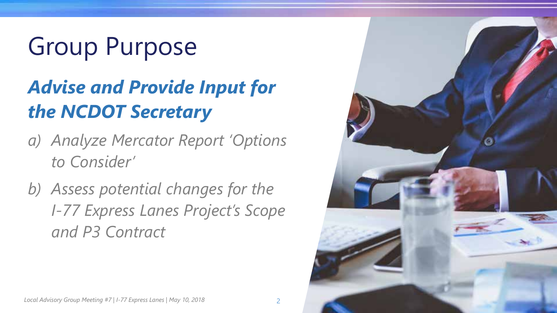# Group Purpose

#### *Advise and Provide Input for the NCDOT Secretary*

- *a) Analyze Mercator Report 'Options to Consider'*
- *b) Assess potential changes for the I-77 Express Lanes Project's Scope and P3 Contract*

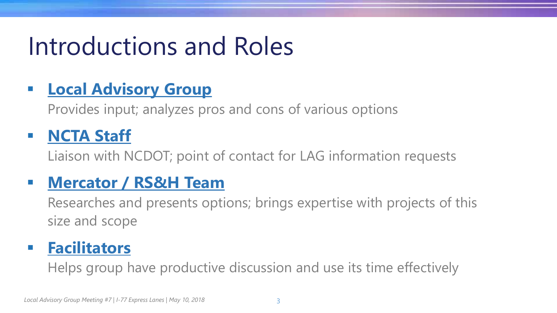### Introductions and Roles

#### **<u>• Local Advisory Group</u>**

Provides input; analyzes pros and cons of various options

#### ▪ **NCTA Staff**

Liaison with NCDOT; point of contact for LAG information requests

#### ▪ **Mercator / RS&H Team**

Researches and presents options; brings expertise with projects of this size and scope

#### ▪ **Facilitators**

Helps group have productive discussion and use its time effectively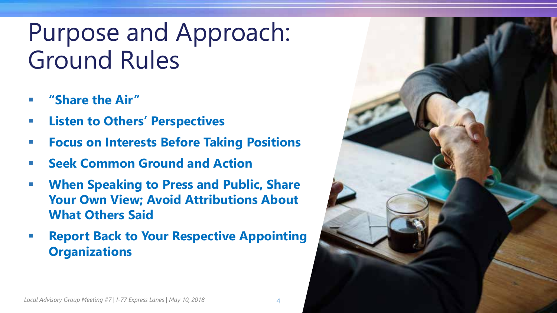### Purpose and Approach: Ground Rules

- **"Share the Air"**
- **Listen to Others' Perspectives**
- **Focus on Interests Before Taking Positions**
- **Seek Common Ground and Action**
- **When Speaking to Press and Public, Share Your Own View; Avoid Attributions About What Others Said**
- **Report Back to Your Respective Appointing Organizations**

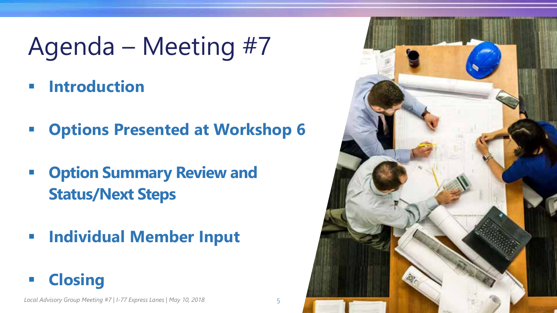## Agenda – Meeting #7

- **Introduction**
- **Options Presented at Workshop 6**
- **Option Summary Review and Status/Next Steps**
- **Individual Member Input**
- **Closing**

*Local Advisory Group Meeting #7 | I-77 Express Lanes | May 10, 2018*

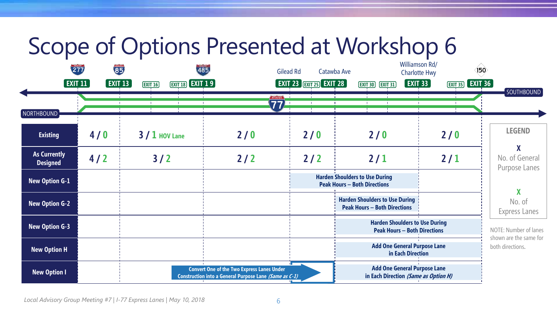#### Scope of Options Presented at Workshop 6

| 277<br>$[$ exit 11 $]$                 | 85<br><b>EXIT 13</b> | 485<br><b>EXIT 18 EXIT 19</b><br><b>EXIT 16</b> |                                                                                                             | Catawba Ave<br>Gilead Rd<br>$\boxed{\mathsf{EXIT}}$ 23 $\boxed{\mathsf{ENT23}}$ $\boxed{\mathsf{EXIT}}$ 28 | <b>EXIT 33</b><br><b>EXIT 30 EXIT 31</b>                                     | Williamson Rd/<br>150 <sup>°</sup><br><b>Charlotte Hwy</b><br><b>EXIT 35 EXIT 36</b> |                                                 |
|----------------------------------------|----------------------|-------------------------------------------------|-------------------------------------------------------------------------------------------------------------|------------------------------------------------------------------------------------------------------------|------------------------------------------------------------------------------|--------------------------------------------------------------------------------------|-------------------------------------------------|
| NORTHBOUND                             |                      |                                                 | INTERSTATE<br>77)                                                                                           |                                                                                                            |                                                                              |                                                                                      | <b>SOUTHBOUND</b>                               |
| <b>Existing</b>                        | 4/0                  | $3/1$ HOV Lane                                  | 2/0                                                                                                         | 2/0                                                                                                        | 2/0                                                                          | 2/0                                                                                  | <b>LEGEND</b>                                   |
| <b>As Currently</b><br><b>Designed</b> | 4/2                  | 3/2                                             | $2/2$                                                                                                       | $2/2$                                                                                                      | 2/1                                                                          | 2/1                                                                                  | X<br>No. of General<br>Purpose Lanes            |
| <b>New Option G-1</b>                  |                      |                                                 |                                                                                                             |                                                                                                            | <b>Harden Shoulders to Use During</b><br><b>Peak Hours - Both Directions</b> |                                                                                      | $\boldsymbol{X}$                                |
| <b>New Option G-2</b>                  |                      |                                                 |                                                                                                             |                                                                                                            | <b>Harden Shoulders to Use During</b><br><b>Peak Hours - Both Directions</b> |                                                                                      | No. of<br>Express Lanes                         |
| <b>New Option G-3</b>                  |                      |                                                 |                                                                                                             |                                                                                                            | <b>Harden Shoulders to Use During</b><br><b>Peak Hours - Both Directions</b> |                                                                                      | NOTE: Number of lanes<br>shown are the same for |
| <b>New Option H</b>                    |                      |                                                 |                                                                                                             |                                                                                                            | <b>Add One General Purpose Lane</b><br>in Each Direction                     |                                                                                      | both directions.                                |
| <b>New Option I</b>                    |                      |                                                 | <b>Convert One of the Two Express Lanes Under</b><br>Construction into a General Purpose Lane (Same as C-1) |                                                                                                            | <b>Add One General Purpose Lane</b><br>in Each Direction (Same as Option H)  |                                                                                      |                                                 |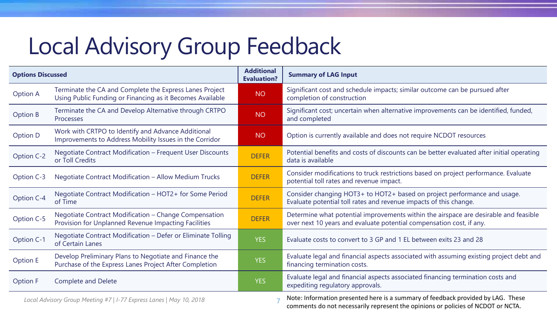### Local Advisory Group Feedback

| <b>Options Discussed</b>                                            |                                                                                                                      | <b>Additional</b><br><b>Evaluation?</b> | <b>Summary of LAG Input</b>                                                                                                                                          |  |
|---------------------------------------------------------------------|----------------------------------------------------------------------------------------------------------------------|-----------------------------------------|----------------------------------------------------------------------------------------------------------------------------------------------------------------------|--|
| <b>Option A</b>                                                     | Terminate the CA and Complete the Express Lanes Project<br>Using Public Funding or Financing as it Becomes Available | <b>NO</b>                               | Significant cost and schedule impacts; similar outcome can be pursued after<br>completion of construction                                                            |  |
| Option B                                                            | Terminate the CA and Develop Alternative through CRTPO<br>Processes                                                  | <b>NO</b>                               | Significant cost; uncertain when alternative improvements can be identified, funded,<br>and completed                                                                |  |
| Option D                                                            | Work with CRTPO to Identify and Advance Additional<br>Improvements to Address Mobility Issues in the Corridor        | <b>NO</b>                               | Option is currently available and does not require NCDOT resources                                                                                                   |  |
| Option C-2                                                          | Negotiate Contract Modification - Frequent User Discounts<br>or Toll Credits                                         | <b>DEFER</b>                            | Potential benefits and costs of discounts can be better evaluated after initial operating<br>data is available                                                       |  |
| Option C-3                                                          | Negotiate Contract Modification - Allow Medium Trucks                                                                | <b>DEFER</b>                            | Consider modifications to truck restrictions based on project performance. Evaluate<br>potential toll rates and revenue impact.                                      |  |
| Option C-4                                                          | Negotiate Contract Modification - HOT2+ for Some Period<br>of Time                                                   | <b>DEFER</b>                            | Consider changing HOT3+ to HOT2+ based on project performance and usage.<br>Evaluate potential toll rates and revenue impacts of this change.                        |  |
| Option C-5                                                          | Negotiate Contract Modification - Change Compensation<br>Provision for Unplanned Revenue Impacting Facilities        | <b>DEFER</b>                            | Determine what potential improvements within the airspace are desirable and feasible<br>over next 10 years and evaluate potential compensation cost, if any.         |  |
| Option C-1                                                          | Negotiate Contract Modification - Defer or Eliminate Tolling<br>of Certain Lanes                                     | <b>YES</b>                              | Evaluate costs to convert to 3 GP and 1 EL between exits 23 and 28                                                                                                   |  |
| <b>Option E</b>                                                     | Develop Preliminary Plans to Negotiate and Finance the<br>Purchase of the Express Lanes Project After Completion     | <b>YES</b>                              | Evaluate legal and financial aspects associated with assuming existing project debt and<br>financing termination costs.                                              |  |
| <b>Option F</b>                                                     | <b>Complete and Delete</b>                                                                                           | <b>YES</b>                              | Evaluate legal and financial aspects associated financing termination costs and<br>expediting regulatory approvals.                                                  |  |
| Local Advisory Group Meeting #7   I-77 Express Lanes   May 10, 2018 |                                                                                                                      |                                         | Note: Information presented here is a summary of feedback provided by LAG. These<br>comments do not necessarily represent the opinions or policies of NCDOT or NCTA. |  |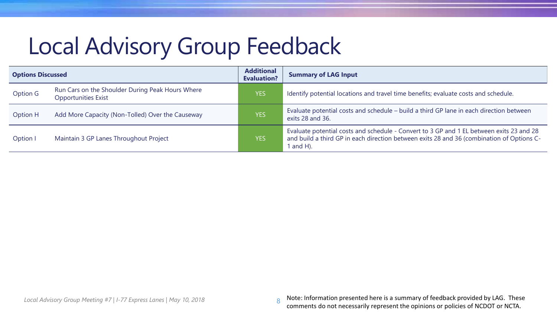### Local Advisory Group Feedback

| <b>Options Discussed</b> |                                                                                | <b>Additional</b><br><b>Evaluation?</b> | <b>Summary of LAG Input</b>                                                                                                                                                                      |  |
|--------------------------|--------------------------------------------------------------------------------|-----------------------------------------|--------------------------------------------------------------------------------------------------------------------------------------------------------------------------------------------------|--|
| Option G                 | Run Cars on the Shoulder During Peak Hours Where<br><b>Opportunities Exist</b> | <b>YES</b>                              | Identify potential locations and travel time benefits; evaluate costs and schedule.                                                                                                              |  |
| Option H                 | Add More Capacity (Non-Tolled) Over the Causeway                               | <b>YES</b>                              | Evaluate potential costs and schedule – build a third GP lane in each direction between<br>exits 28 and 36.                                                                                      |  |
| Option I                 | Maintain 3 GP Lanes Throughout Project                                         | <b>YES</b>                              | Evaluate potential costs and schedule - Convert to 3 GP and 1 EL between exits 23 and 28<br>and build a third GP in each direction between exits 28 and 36 (combination of Options C-<br>and H). |  |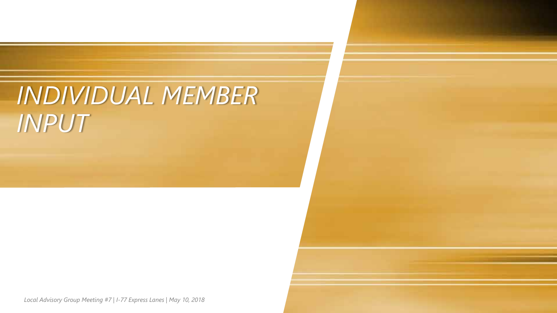### *INDIVIDUAL MEMBER INPUT*

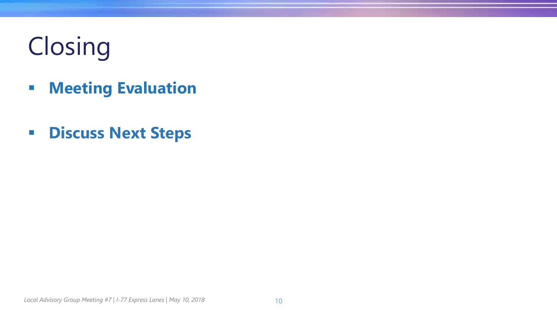# Closing

- **Meeting Evaluation**
- **Discuss Next Steps**